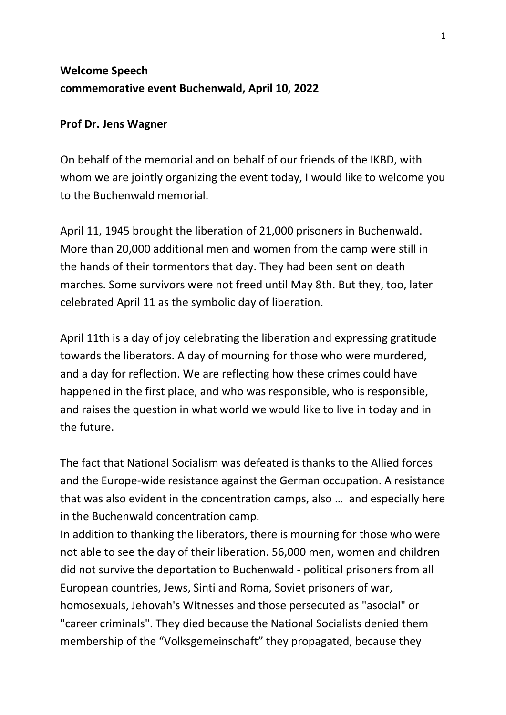## **Welcome Speech commemorative event Buchenwald, April 10, 2022**

## **Prof Dr. Jens Wagner**

On behalf of the memorial and on behalf of our friends of the IKBD, with whom we are jointly organizing the event today, I would like to welcome you to the Buchenwald memorial.

April 11, 1945 brought the liberation of 21,000 prisoners in Buchenwald. More than 20,000 additional men and women from the camp were still in the hands of their tormentors that day. They had been sent on death marches. Some survivors were not freed until May 8th. But they, too, later celebrated April 11 as the symbolic day of liberation.

April 11th is a day of joy celebrating the liberation and expressing gratitude towards the liberators. A day of mourning for those who were murdered, and a day for reflection. We are reflecting how these crimes could have happened in the first place, and who was responsible, who is responsible, and raises the question in what world we would like to live in today and in the future.

The fact that National Socialism was defeated is thanks to the Allied forces and the Europe-wide resistance against the German occupation. A resistance that was also evident in the concentration camps, also … and especially here in the Buchenwald concentration camp.

In addition to thanking the liberators, there is mourning for those who were not able to see the day of their liberation. 56,000 men, women and children did not survive the deportation to Buchenwald - political prisoners from all European countries, Jews, Sinti and Roma, Soviet prisoners of war, homosexuals, Jehovah's Witnesses and those persecuted as "asocial" or "career criminals". They died because the National Socialists denied them membership of the "Volksgemeinschaft" they propagated, because they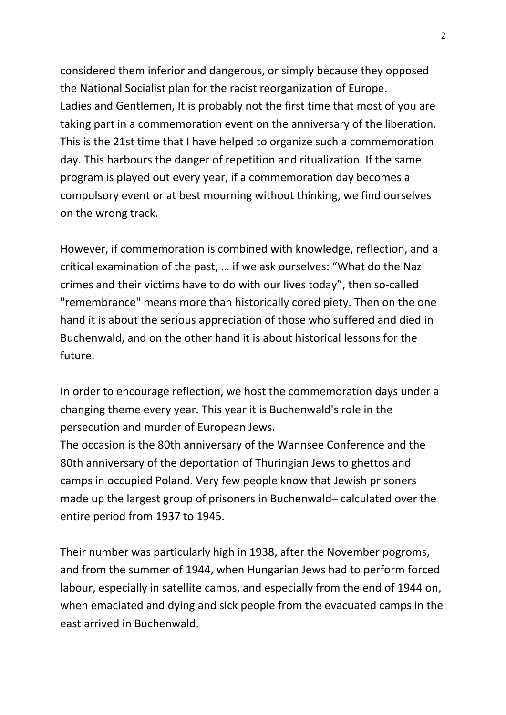considered them inferior and dangerous, or simply because they opposed the National Socialist plan for the racist reorganization of Europe. Ladies and Gentlemen, It is probably not the first time that most of you are taking part in a commemoration event on the anniversary of the liberation. This is the 21st time that I have helped to organize such a commemoration day. This harbours the danger of repetition and ritualization. If the same program is played out every year, if a commemoration day becomes a compulsory event or at best mourning without thinking, we find ourselves on the wrong track.

However, if commemoration is combined with knowledge, reflection, and a critical examination of the past, … if we ask ourselves: "What do the Nazi crimes and their victims have to do with our lives today", then so-called "remembrance" means more than historically cored piety. Then on the one hand it is about the serious appreciation of those who suffered and died in Buchenwald, and on the other hand it is about historical lessons for the future.

In order to encourage reflection, we host the commemoration days under a changing theme every year. This year it is Buchenwald's role in the persecution and murder of European Jews.

The occasion is the 80th anniversary of the Wannsee Conference and the 80th anniversary of the deportation of Thuringian Jews to ghettos and camps in occupied Poland. Very few people know that Jewish prisoners made up the largest group of prisoners in Buchenwald– calculated over the entire period from 1937 to 1945.

Their number was particularly high in 1938, after the November pogroms, and from the summer of 1944, when Hungarian Jews had to perform forced labour, especially in satellite camps, and especially from the end of 1944 on, when emaciated and dying and sick people from the evacuated camps in the east arrived in Buchenwald.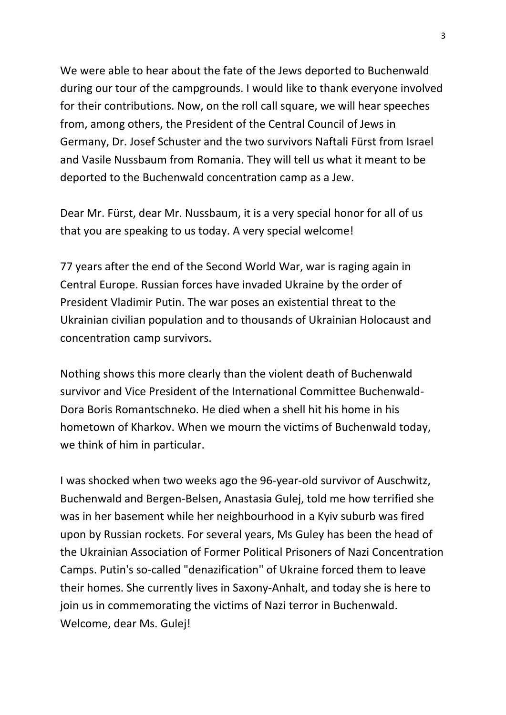We were able to hear about the fate of the Jews deported to Buchenwald during our tour of the campgrounds. I would like to thank everyone involved for their contributions. Now, on the roll call square, we will hear speeches from, among others, the President of the Central Council of Jews in Germany, Dr. Josef Schuster and the two survivors Naftali Fürst from Israel and Vasile Nussbaum from Romania. They will tell us what it meant to be deported to the Buchenwald concentration camp as a Jew.

Dear Mr. Fürst, dear Mr. Nussbaum, it is a very special honor for all of us that you are speaking to us today. A very special welcome!

77 years after the end of the Second World War, war is raging again in Central Europe. Russian forces have invaded Ukraine by the order of President Vladimir Putin. The war poses an existential threat to the Ukrainian civilian population and to thousands of Ukrainian Holocaust and concentration camp survivors.

Nothing shows this more clearly than the violent death of Buchenwald survivor and Vice President of the International Committee Buchenwald-Dora Boris Romantschneko. He died when a shell hit his home in his hometown of Kharkov. When we mourn the victims of Buchenwald today, we think of him in particular.

I was shocked when two weeks ago the 96-year-old survivor of Auschwitz, Buchenwald and Bergen-Belsen, Anastasia Gulej, told me how terrified she was in her basement while her neighbourhood in a Kyiv suburb was fired upon by Russian rockets. For several years, Ms Guley has been the head of the Ukrainian Association of Former Political Prisoners of Nazi Concentration Camps. Putin's so-called "denazification" of Ukraine forced them to leave their homes. She currently lives in Saxony-Anhalt, and today she is here to join us in commemorating the victims of Nazi terror in Buchenwald. Welcome, dear Ms. Gulej!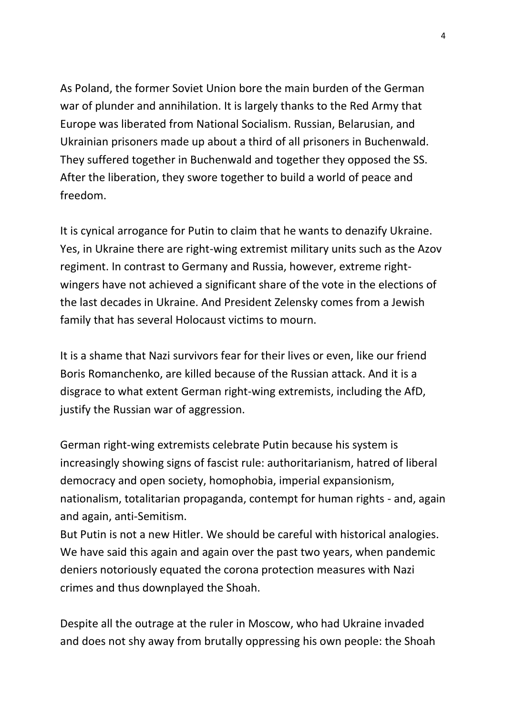As Poland, the former Soviet Union bore the main burden of the German war of plunder and annihilation. It is largely thanks to the Red Army that Europe was liberated from National Socialism. Russian, Belarusian, and Ukrainian prisoners made up about a third of all prisoners in Buchenwald. They suffered together in Buchenwald and together they opposed the SS. After the liberation, they swore together to build a world of peace and freedom.

It is cynical arrogance for Putin to claim that he wants to denazify Ukraine. Yes, in Ukraine there are right-wing extremist military units such as the Azov regiment. In contrast to Germany and Russia, however, extreme rightwingers have not achieved a significant share of the vote in the elections of the last decades in Ukraine. And President Zelensky comes from a Jewish family that has several Holocaust victims to mourn.

It is a shame that Nazi survivors fear for their lives or even, like our friend Boris Romanchenko, are killed because of the Russian attack. And it is a disgrace to what extent German right-wing extremists, including the AfD, justify the Russian war of aggression.

German right-wing extremists celebrate Putin because his system is increasingly showing signs of fascist rule: authoritarianism, hatred of liberal democracy and open society, homophobia, imperial expansionism, nationalism, totalitarian propaganda, contempt for human rights - and, again and again, anti-Semitism.

But Putin is not a new Hitler. We should be careful with historical analogies. We have said this again and again over the past two years, when pandemic deniers notoriously equated the corona protection measures with Nazi crimes and thus downplayed the Shoah.

Despite all the outrage at the ruler in Moscow, who had Ukraine invaded and does not shy away from brutally oppressing his own people: the Shoah